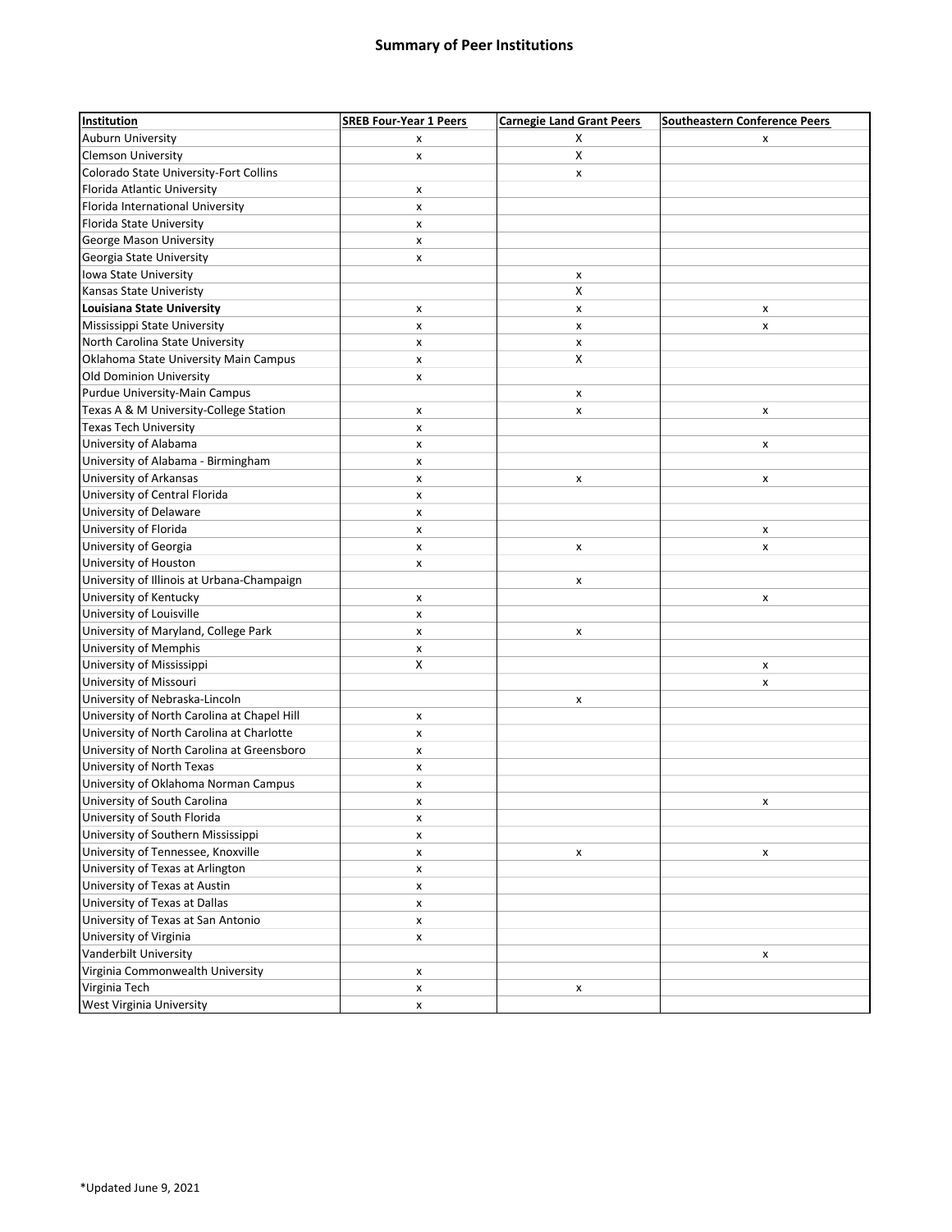## Summary of Peer Institutions

| Auburn University<br>X<br>x<br>x<br><b>Clemson University</b><br>X<br>x<br>Colorado State University-Fort Collins<br>x<br>Florida Atlantic University<br>X<br>Florida International University<br>x<br>Florida State University<br>x<br>George Mason University<br>x<br>Georgia State University<br>X<br>Iowa State University<br>x<br>X<br>Kansas State Univeristy<br>Louisiana State University<br>x<br>x<br>x<br>Mississippi State University<br>$\pmb{\mathsf{x}}$<br>X<br>x<br>North Carolina State University<br>x<br>x<br>Oklahoma State University Main Campus<br>X<br>x<br><b>Old Dominion University</b><br>X<br>Purdue University-Main Campus<br>x<br>Texas A & M University-College Station<br>x<br>x<br>x<br><b>Texas Tech University</b><br>X<br>University of Alabama<br>x<br>x<br>University of Alabama - Birmingham<br>x<br>University of Arkansas<br>x<br>x<br>x<br>University of Central Florida<br>x<br>University of Delaware<br>x<br>University of Florida<br>x<br>x<br>University of Georgia<br>x<br>х<br>х<br>University of Houston<br>X<br>University of Illinois at Urbana-Champaign<br>x<br>University of Kentucky<br>x<br>x<br>University of Louisville<br>x<br>University of Maryland, College Park<br>x<br>x<br>University of Memphis<br>x<br>University of Mississippi<br>X<br>x<br>University of Missouri<br>x<br>University of Nebraska-Lincoln<br>x<br>University of North Carolina at Chapel Hill<br>X<br>University of North Carolina at Charlotte<br>x<br>University of North Carolina at Greensboro<br>x<br>University of North Texas<br>X<br>University of Oklahoma Norman Campus<br>X<br>University of South Carolina<br>X<br>x<br>University of South Florida<br>X<br>University of Southern Mississippi<br>X<br>University of Tennessee, Knoxville<br>X<br>x<br>X<br>University of Texas at Arlington<br>X<br>University of Texas at Austin<br>X<br>University of Texas at Dallas<br>X<br>University of Texas at San Antonio<br>X<br>University of Virginia<br>X<br>Vanderbilt University<br>x<br>Virginia Commonwealth University<br>X<br>Virginia Tech<br>$\pmb{\mathsf{x}}$<br>x | Institution              | <b>SREB Four-Year 1 Peers</b> | <b>Carnegie Land Grant Peers</b> | <b>Southeastern Conference Peers</b> |
|-------------------------------------------------------------------------------------------------------------------------------------------------------------------------------------------------------------------------------------------------------------------------------------------------------------------------------------------------------------------------------------------------------------------------------------------------------------------------------------------------------------------------------------------------------------------------------------------------------------------------------------------------------------------------------------------------------------------------------------------------------------------------------------------------------------------------------------------------------------------------------------------------------------------------------------------------------------------------------------------------------------------------------------------------------------------------------------------------------------------------------------------------------------------------------------------------------------------------------------------------------------------------------------------------------------------------------------------------------------------------------------------------------------------------------------------------------------------------------------------------------------------------------------------------------------------------------------------------------------------------------------------------------------------------------------------------------------------------------------------------------------------------------------------------------------------------------------------------------------------------------------------------------------------------------------------------------------------------------------------------------------------------------------------------------------------------------------------------------------------------------|--------------------------|-------------------------------|----------------------------------|--------------------------------------|
|                                                                                                                                                                                                                                                                                                                                                                                                                                                                                                                                                                                                                                                                                                                                                                                                                                                                                                                                                                                                                                                                                                                                                                                                                                                                                                                                                                                                                                                                                                                                                                                                                                                                                                                                                                                                                                                                                                                                                                                                                                                                                                                               |                          |                               |                                  |                                      |
|                                                                                                                                                                                                                                                                                                                                                                                                                                                                                                                                                                                                                                                                                                                                                                                                                                                                                                                                                                                                                                                                                                                                                                                                                                                                                                                                                                                                                                                                                                                                                                                                                                                                                                                                                                                                                                                                                                                                                                                                                                                                                                                               |                          |                               |                                  |                                      |
|                                                                                                                                                                                                                                                                                                                                                                                                                                                                                                                                                                                                                                                                                                                                                                                                                                                                                                                                                                                                                                                                                                                                                                                                                                                                                                                                                                                                                                                                                                                                                                                                                                                                                                                                                                                                                                                                                                                                                                                                                                                                                                                               |                          |                               |                                  |                                      |
|                                                                                                                                                                                                                                                                                                                                                                                                                                                                                                                                                                                                                                                                                                                                                                                                                                                                                                                                                                                                                                                                                                                                                                                                                                                                                                                                                                                                                                                                                                                                                                                                                                                                                                                                                                                                                                                                                                                                                                                                                                                                                                                               |                          |                               |                                  |                                      |
|                                                                                                                                                                                                                                                                                                                                                                                                                                                                                                                                                                                                                                                                                                                                                                                                                                                                                                                                                                                                                                                                                                                                                                                                                                                                                                                                                                                                                                                                                                                                                                                                                                                                                                                                                                                                                                                                                                                                                                                                                                                                                                                               |                          |                               |                                  |                                      |
|                                                                                                                                                                                                                                                                                                                                                                                                                                                                                                                                                                                                                                                                                                                                                                                                                                                                                                                                                                                                                                                                                                                                                                                                                                                                                                                                                                                                                                                                                                                                                                                                                                                                                                                                                                                                                                                                                                                                                                                                                                                                                                                               |                          |                               |                                  |                                      |
|                                                                                                                                                                                                                                                                                                                                                                                                                                                                                                                                                                                                                                                                                                                                                                                                                                                                                                                                                                                                                                                                                                                                                                                                                                                                                                                                                                                                                                                                                                                                                                                                                                                                                                                                                                                                                                                                                                                                                                                                                                                                                                                               |                          |                               |                                  |                                      |
|                                                                                                                                                                                                                                                                                                                                                                                                                                                                                                                                                                                                                                                                                                                                                                                                                                                                                                                                                                                                                                                                                                                                                                                                                                                                                                                                                                                                                                                                                                                                                                                                                                                                                                                                                                                                                                                                                                                                                                                                                                                                                                                               |                          |                               |                                  |                                      |
|                                                                                                                                                                                                                                                                                                                                                                                                                                                                                                                                                                                                                                                                                                                                                                                                                                                                                                                                                                                                                                                                                                                                                                                                                                                                                                                                                                                                                                                                                                                                                                                                                                                                                                                                                                                                                                                                                                                                                                                                                                                                                                                               |                          |                               |                                  |                                      |
|                                                                                                                                                                                                                                                                                                                                                                                                                                                                                                                                                                                                                                                                                                                                                                                                                                                                                                                                                                                                                                                                                                                                                                                                                                                                                                                                                                                                                                                                                                                                                                                                                                                                                                                                                                                                                                                                                                                                                                                                                                                                                                                               |                          |                               |                                  |                                      |
|                                                                                                                                                                                                                                                                                                                                                                                                                                                                                                                                                                                                                                                                                                                                                                                                                                                                                                                                                                                                                                                                                                                                                                                                                                                                                                                                                                                                                                                                                                                                                                                                                                                                                                                                                                                                                                                                                                                                                                                                                                                                                                                               |                          |                               |                                  |                                      |
|                                                                                                                                                                                                                                                                                                                                                                                                                                                                                                                                                                                                                                                                                                                                                                                                                                                                                                                                                                                                                                                                                                                                                                                                                                                                                                                                                                                                                                                                                                                                                                                                                                                                                                                                                                                                                                                                                                                                                                                                                                                                                                                               |                          |                               |                                  |                                      |
|                                                                                                                                                                                                                                                                                                                                                                                                                                                                                                                                                                                                                                                                                                                                                                                                                                                                                                                                                                                                                                                                                                                                                                                                                                                                                                                                                                                                                                                                                                                                                                                                                                                                                                                                                                                                                                                                                                                                                                                                                                                                                                                               |                          |                               |                                  |                                      |
|                                                                                                                                                                                                                                                                                                                                                                                                                                                                                                                                                                                                                                                                                                                                                                                                                                                                                                                                                                                                                                                                                                                                                                                                                                                                                                                                                                                                                                                                                                                                                                                                                                                                                                                                                                                                                                                                                                                                                                                                                                                                                                                               |                          |                               |                                  |                                      |
|                                                                                                                                                                                                                                                                                                                                                                                                                                                                                                                                                                                                                                                                                                                                                                                                                                                                                                                                                                                                                                                                                                                                                                                                                                                                                                                                                                                                                                                                                                                                                                                                                                                                                                                                                                                                                                                                                                                                                                                                                                                                                                                               |                          |                               |                                  |                                      |
|                                                                                                                                                                                                                                                                                                                                                                                                                                                                                                                                                                                                                                                                                                                                                                                                                                                                                                                                                                                                                                                                                                                                                                                                                                                                                                                                                                                                                                                                                                                                                                                                                                                                                                                                                                                                                                                                                                                                                                                                                                                                                                                               |                          |                               |                                  |                                      |
|                                                                                                                                                                                                                                                                                                                                                                                                                                                                                                                                                                                                                                                                                                                                                                                                                                                                                                                                                                                                                                                                                                                                                                                                                                                                                                                                                                                                                                                                                                                                                                                                                                                                                                                                                                                                                                                                                                                                                                                                                                                                                                                               |                          |                               |                                  |                                      |
|                                                                                                                                                                                                                                                                                                                                                                                                                                                                                                                                                                                                                                                                                                                                                                                                                                                                                                                                                                                                                                                                                                                                                                                                                                                                                                                                                                                                                                                                                                                                                                                                                                                                                                                                                                                                                                                                                                                                                                                                                                                                                                                               |                          |                               |                                  |                                      |
|                                                                                                                                                                                                                                                                                                                                                                                                                                                                                                                                                                                                                                                                                                                                                                                                                                                                                                                                                                                                                                                                                                                                                                                                                                                                                                                                                                                                                                                                                                                                                                                                                                                                                                                                                                                                                                                                                                                                                                                                                                                                                                                               |                          |                               |                                  |                                      |
|                                                                                                                                                                                                                                                                                                                                                                                                                                                                                                                                                                                                                                                                                                                                                                                                                                                                                                                                                                                                                                                                                                                                                                                                                                                                                                                                                                                                                                                                                                                                                                                                                                                                                                                                                                                                                                                                                                                                                                                                                                                                                                                               |                          |                               |                                  |                                      |
|                                                                                                                                                                                                                                                                                                                                                                                                                                                                                                                                                                                                                                                                                                                                                                                                                                                                                                                                                                                                                                                                                                                                                                                                                                                                                                                                                                                                                                                                                                                                                                                                                                                                                                                                                                                                                                                                                                                                                                                                                                                                                                                               |                          |                               |                                  |                                      |
|                                                                                                                                                                                                                                                                                                                                                                                                                                                                                                                                                                                                                                                                                                                                                                                                                                                                                                                                                                                                                                                                                                                                                                                                                                                                                                                                                                                                                                                                                                                                                                                                                                                                                                                                                                                                                                                                                                                                                                                                                                                                                                                               |                          |                               |                                  |                                      |
|                                                                                                                                                                                                                                                                                                                                                                                                                                                                                                                                                                                                                                                                                                                                                                                                                                                                                                                                                                                                                                                                                                                                                                                                                                                                                                                                                                                                                                                                                                                                                                                                                                                                                                                                                                                                                                                                                                                                                                                                                                                                                                                               |                          |                               |                                  |                                      |
|                                                                                                                                                                                                                                                                                                                                                                                                                                                                                                                                                                                                                                                                                                                                                                                                                                                                                                                                                                                                                                                                                                                                                                                                                                                                                                                                                                                                                                                                                                                                                                                                                                                                                                                                                                                                                                                                                                                                                                                                                                                                                                                               |                          |                               |                                  |                                      |
|                                                                                                                                                                                                                                                                                                                                                                                                                                                                                                                                                                                                                                                                                                                                                                                                                                                                                                                                                                                                                                                                                                                                                                                                                                                                                                                                                                                                                                                                                                                                                                                                                                                                                                                                                                                                                                                                                                                                                                                                                                                                                                                               |                          |                               |                                  |                                      |
|                                                                                                                                                                                                                                                                                                                                                                                                                                                                                                                                                                                                                                                                                                                                                                                                                                                                                                                                                                                                                                                                                                                                                                                                                                                                                                                                                                                                                                                                                                                                                                                                                                                                                                                                                                                                                                                                                                                                                                                                                                                                                                                               |                          |                               |                                  |                                      |
|                                                                                                                                                                                                                                                                                                                                                                                                                                                                                                                                                                                                                                                                                                                                                                                                                                                                                                                                                                                                                                                                                                                                                                                                                                                                                                                                                                                                                                                                                                                                                                                                                                                                                                                                                                                                                                                                                                                                                                                                                                                                                                                               |                          |                               |                                  |                                      |
|                                                                                                                                                                                                                                                                                                                                                                                                                                                                                                                                                                                                                                                                                                                                                                                                                                                                                                                                                                                                                                                                                                                                                                                                                                                                                                                                                                                                                                                                                                                                                                                                                                                                                                                                                                                                                                                                                                                                                                                                                                                                                                                               |                          |                               |                                  |                                      |
|                                                                                                                                                                                                                                                                                                                                                                                                                                                                                                                                                                                                                                                                                                                                                                                                                                                                                                                                                                                                                                                                                                                                                                                                                                                                                                                                                                                                                                                                                                                                                                                                                                                                                                                                                                                                                                                                                                                                                                                                                                                                                                                               |                          |                               |                                  |                                      |
|                                                                                                                                                                                                                                                                                                                                                                                                                                                                                                                                                                                                                                                                                                                                                                                                                                                                                                                                                                                                                                                                                                                                                                                                                                                                                                                                                                                                                                                                                                                                                                                                                                                                                                                                                                                                                                                                                                                                                                                                                                                                                                                               |                          |                               |                                  |                                      |
|                                                                                                                                                                                                                                                                                                                                                                                                                                                                                                                                                                                                                                                                                                                                                                                                                                                                                                                                                                                                                                                                                                                                                                                                                                                                                                                                                                                                                                                                                                                                                                                                                                                                                                                                                                                                                                                                                                                                                                                                                                                                                                                               |                          |                               |                                  |                                      |
|                                                                                                                                                                                                                                                                                                                                                                                                                                                                                                                                                                                                                                                                                                                                                                                                                                                                                                                                                                                                                                                                                                                                                                                                                                                                                                                                                                                                                                                                                                                                                                                                                                                                                                                                                                                                                                                                                                                                                                                                                                                                                                                               |                          |                               |                                  |                                      |
|                                                                                                                                                                                                                                                                                                                                                                                                                                                                                                                                                                                                                                                                                                                                                                                                                                                                                                                                                                                                                                                                                                                                                                                                                                                                                                                                                                                                                                                                                                                                                                                                                                                                                                                                                                                                                                                                                                                                                                                                                                                                                                                               |                          |                               |                                  |                                      |
|                                                                                                                                                                                                                                                                                                                                                                                                                                                                                                                                                                                                                                                                                                                                                                                                                                                                                                                                                                                                                                                                                                                                                                                                                                                                                                                                                                                                                                                                                                                                                                                                                                                                                                                                                                                                                                                                                                                                                                                                                                                                                                                               |                          |                               |                                  |                                      |
|                                                                                                                                                                                                                                                                                                                                                                                                                                                                                                                                                                                                                                                                                                                                                                                                                                                                                                                                                                                                                                                                                                                                                                                                                                                                                                                                                                                                                                                                                                                                                                                                                                                                                                                                                                                                                                                                                                                                                                                                                                                                                                                               |                          |                               |                                  |                                      |
|                                                                                                                                                                                                                                                                                                                                                                                                                                                                                                                                                                                                                                                                                                                                                                                                                                                                                                                                                                                                                                                                                                                                                                                                                                                                                                                                                                                                                                                                                                                                                                                                                                                                                                                                                                                                                                                                                                                                                                                                                                                                                                                               |                          |                               |                                  |                                      |
|                                                                                                                                                                                                                                                                                                                                                                                                                                                                                                                                                                                                                                                                                                                                                                                                                                                                                                                                                                                                                                                                                                                                                                                                                                                                                                                                                                                                                                                                                                                                                                                                                                                                                                                                                                                                                                                                                                                                                                                                                                                                                                                               |                          |                               |                                  |                                      |
|                                                                                                                                                                                                                                                                                                                                                                                                                                                                                                                                                                                                                                                                                                                                                                                                                                                                                                                                                                                                                                                                                                                                                                                                                                                                                                                                                                                                                                                                                                                                                                                                                                                                                                                                                                                                                                                                                                                                                                                                                                                                                                                               |                          |                               |                                  |                                      |
|                                                                                                                                                                                                                                                                                                                                                                                                                                                                                                                                                                                                                                                                                                                                                                                                                                                                                                                                                                                                                                                                                                                                                                                                                                                                                                                                                                                                                                                                                                                                                                                                                                                                                                                                                                                                                                                                                                                                                                                                                                                                                                                               |                          |                               |                                  |                                      |
|                                                                                                                                                                                                                                                                                                                                                                                                                                                                                                                                                                                                                                                                                                                                                                                                                                                                                                                                                                                                                                                                                                                                                                                                                                                                                                                                                                                                                                                                                                                                                                                                                                                                                                                                                                                                                                                                                                                                                                                                                                                                                                                               |                          |                               |                                  |                                      |
|                                                                                                                                                                                                                                                                                                                                                                                                                                                                                                                                                                                                                                                                                                                                                                                                                                                                                                                                                                                                                                                                                                                                                                                                                                                                                                                                                                                                                                                                                                                                                                                                                                                                                                                                                                                                                                                                                                                                                                                                                                                                                                                               |                          |                               |                                  |                                      |
|                                                                                                                                                                                                                                                                                                                                                                                                                                                                                                                                                                                                                                                                                                                                                                                                                                                                                                                                                                                                                                                                                                                                                                                                                                                                                                                                                                                                                                                                                                                                                                                                                                                                                                                                                                                                                                                                                                                                                                                                                                                                                                                               |                          |                               |                                  |                                      |
|                                                                                                                                                                                                                                                                                                                                                                                                                                                                                                                                                                                                                                                                                                                                                                                                                                                                                                                                                                                                                                                                                                                                                                                                                                                                                                                                                                                                                                                                                                                                                                                                                                                                                                                                                                                                                                                                                                                                                                                                                                                                                                                               |                          |                               |                                  |                                      |
|                                                                                                                                                                                                                                                                                                                                                                                                                                                                                                                                                                                                                                                                                                                                                                                                                                                                                                                                                                                                                                                                                                                                                                                                                                                                                                                                                                                                                                                                                                                                                                                                                                                                                                                                                                                                                                                                                                                                                                                                                                                                                                                               |                          |                               |                                  |                                      |
|                                                                                                                                                                                                                                                                                                                                                                                                                                                                                                                                                                                                                                                                                                                                                                                                                                                                                                                                                                                                                                                                                                                                                                                                                                                                                                                                                                                                                                                                                                                                                                                                                                                                                                                                                                                                                                                                                                                                                                                                                                                                                                                               |                          |                               |                                  |                                      |
|                                                                                                                                                                                                                                                                                                                                                                                                                                                                                                                                                                                                                                                                                                                                                                                                                                                                                                                                                                                                                                                                                                                                                                                                                                                                                                                                                                                                                                                                                                                                                                                                                                                                                                                                                                                                                                                                                                                                                                                                                                                                                                                               |                          |                               |                                  |                                      |
|                                                                                                                                                                                                                                                                                                                                                                                                                                                                                                                                                                                                                                                                                                                                                                                                                                                                                                                                                                                                                                                                                                                                                                                                                                                                                                                                                                                                                                                                                                                                                                                                                                                                                                                                                                                                                                                                                                                                                                                                                                                                                                                               |                          |                               |                                  |                                      |
|                                                                                                                                                                                                                                                                                                                                                                                                                                                                                                                                                                                                                                                                                                                                                                                                                                                                                                                                                                                                                                                                                                                                                                                                                                                                                                                                                                                                                                                                                                                                                                                                                                                                                                                                                                                                                                                                                                                                                                                                                                                                                                                               |                          |                               |                                  |                                      |
|                                                                                                                                                                                                                                                                                                                                                                                                                                                                                                                                                                                                                                                                                                                                                                                                                                                                                                                                                                                                                                                                                                                                                                                                                                                                                                                                                                                                                                                                                                                                                                                                                                                                                                                                                                                                                                                                                                                                                                                                                                                                                                                               |                          |                               |                                  |                                      |
|                                                                                                                                                                                                                                                                                                                                                                                                                                                                                                                                                                                                                                                                                                                                                                                                                                                                                                                                                                                                                                                                                                                                                                                                                                                                                                                                                                                                                                                                                                                                                                                                                                                                                                                                                                                                                                                                                                                                                                                                                                                                                                                               |                          |                               |                                  |                                      |
|                                                                                                                                                                                                                                                                                                                                                                                                                                                                                                                                                                                                                                                                                                                                                                                                                                                                                                                                                                                                                                                                                                                                                                                                                                                                                                                                                                                                                                                                                                                                                                                                                                                                                                                                                                                                                                                                                                                                                                                                                                                                                                                               |                          |                               |                                  |                                      |
|                                                                                                                                                                                                                                                                                                                                                                                                                                                                                                                                                                                                                                                                                                                                                                                                                                                                                                                                                                                                                                                                                                                                                                                                                                                                                                                                                                                                                                                                                                                                                                                                                                                                                                                                                                                                                                                                                                                                                                                                                                                                                                                               | West Virginia University | x                             |                                  |                                      |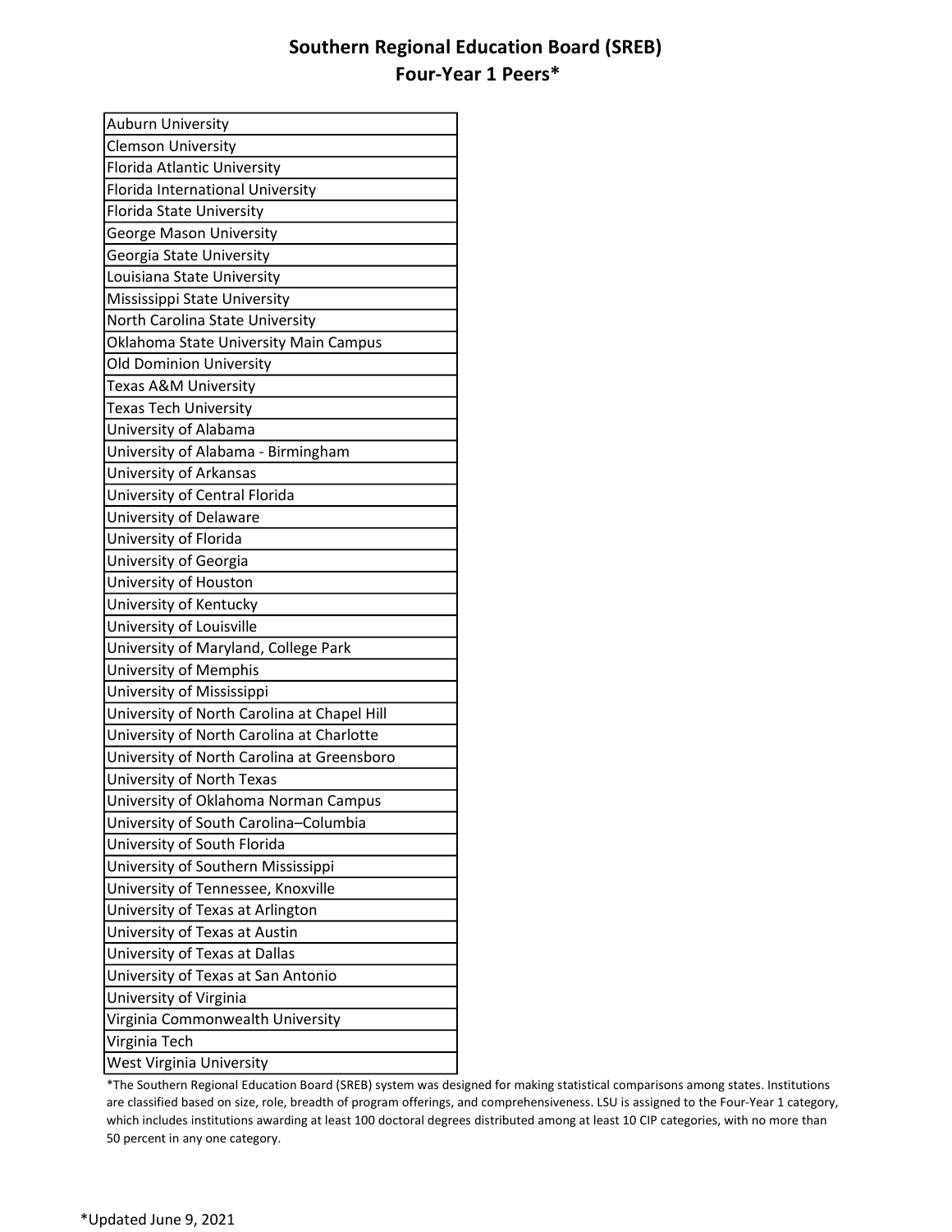## Southern Regional Education Board (SREB) Four-Year 1 Peers\*

| <b>Auburn University</b>                    |
|---------------------------------------------|
| <b>Clemson University</b>                   |
| Florida Atlantic University                 |
| Florida International University            |
| Florida State University                    |
| <b>George Mason University</b>              |
| Georgia State University                    |
| Louisiana State University                  |
| Mississippi State University                |
| North Carolina State University             |
| Oklahoma State University Main Campus       |
| <b>Old Dominion University</b>              |
| Texas A&M University                        |
| Texas Tech University                       |
| University of Alabama                       |
| University of Alabama - Birmingham          |
| University of Arkansas                      |
| University of Central Florida               |
| University of Delaware                      |
| University of Florida                       |
| University of Georgia                       |
| University of Houston                       |
| University of Kentucky                      |
| University of Louisville                    |
| University of Maryland, College Park        |
| University of Memphis                       |
| University of Mississippi                   |
| University of North Carolina at Chapel Hill |
| University of North Carolina at Charlotte   |
| University of North Carolina at Greensboro  |
| University of North Texas                   |
| University of Oklahoma Norman Campus        |
| University of South Carolina-Columbia       |
| University of South Florida                 |
| University of Southern Mississippi          |
| University of Tennessee, Knoxville          |
| University of Texas at Arlington            |
| University of Texas at Austin               |
| University of Texas at Dallas               |
| University of Texas at San Antonio          |
| University of Virginia                      |
| Virginia Commonwealth University            |
| Virginia Tech                               |
| West Virginia University                    |

 \*The Southern Regional Education Board (SREB) system was designed for making statistical comparisons among states. Institutions are classified based on size, role, breadth of program offerings, and comprehensiveness. LSU is assigned to the Four-Year 1 category, which includes institutions awarding at least 100 doctoral degrees distributed among at least 10 CIP categories, with no more than 50 percent in any one category.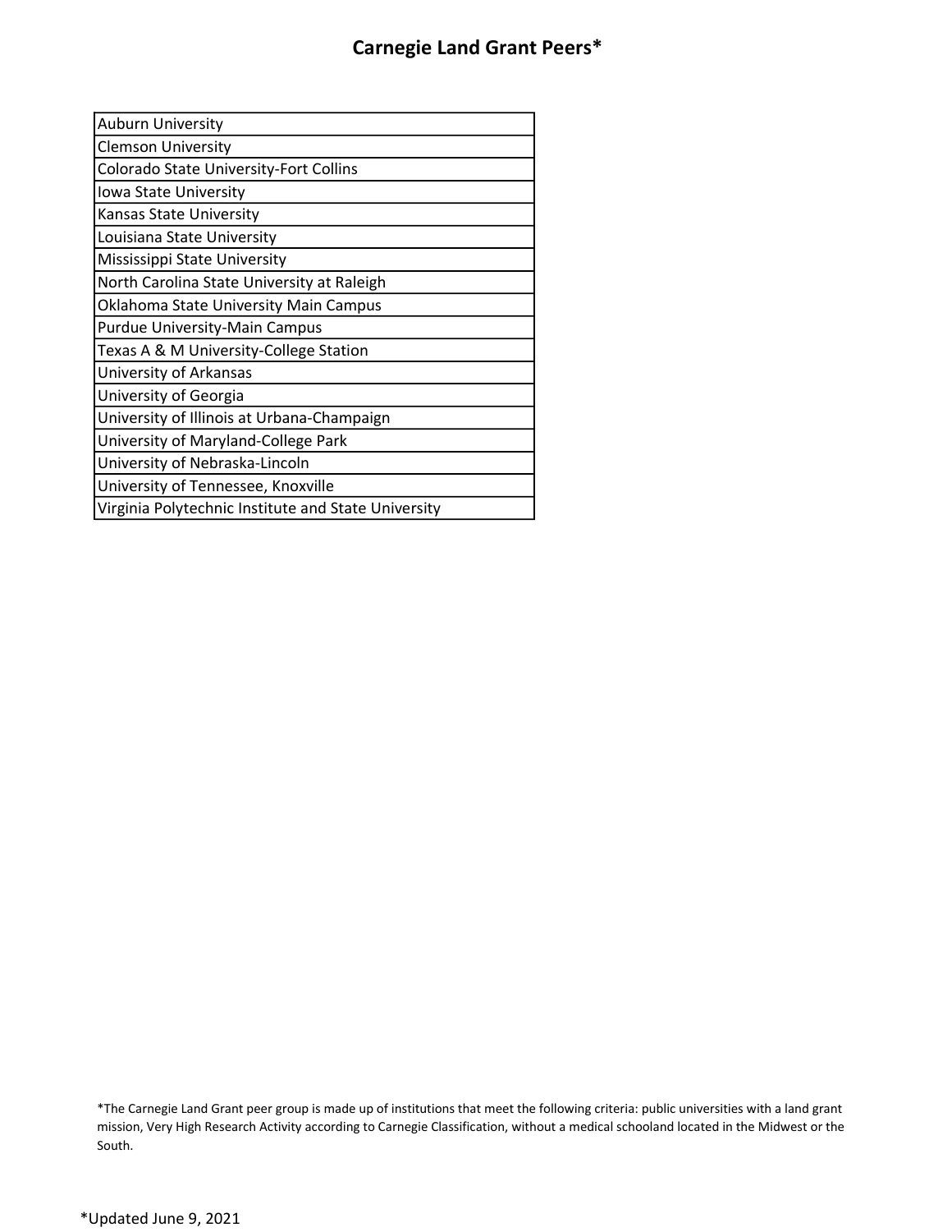| <b>Auburn University</b>                            |
|-----------------------------------------------------|
| <b>Clemson University</b>                           |
| Colorado State University-Fort Collins              |
| Iowa State University                               |
| Kansas State University                             |
| Louisiana State University                          |
| Mississippi State University                        |
| North Carolina State University at Raleigh          |
| Oklahoma State University Main Campus               |
| <b>Purdue University-Main Campus</b>                |
| Texas A & M University-College Station              |
| University of Arkansas                              |
| University of Georgia                               |
| University of Illinois at Urbana-Champaign          |
| University of Maryland-College Park                 |
| University of Nebraska-Lincoln                      |
| University of Tennessee, Knoxville                  |
| Virginia Polytechnic Institute and State University |
|                                                     |

 \*The Carnegie Land Grant peer group is made up of institutions that meet the following criteria: public universities with a land grant mission, Very High Research Activity according to Carnegie Classification, without a medical schooland located in the Midwest or the South.